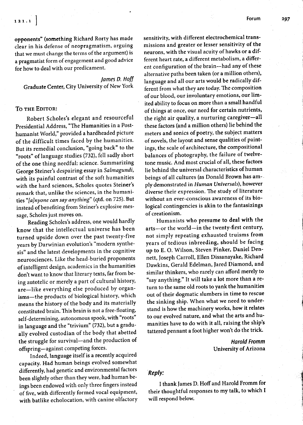'I

opponents" (something Richard Rorty has made clear in his defense of neopragmatism, arguing that we must change the terms of the argument) is a pragmatist form of engagement and good advice for how to deal with our predicament.

James D. Hoff Graduate Center, City University of New York

## To THE EDITOR:

Robert Scholes's elegant and resourceful Presidential Address, "The Humanities in a Posthumanist World," provided a hardheaded picture of the difficult times faced by the humanities. But its remedial conclusion, "going back" to the "roots" of language studies (732), fell sadly short of the one thing needful: science. Summarizing George Steiner's despairing essay in Salmagundi, with its painful contrast of the soft humanities with the hard sciences, Scholes quotes Steiner's remark that, unlike the sciences, in the humanities "[a]nyone can say anything" (qtd. on 725). But instead of benefiting from Steiner's explosive message, Scholes just moves on.

Reading Scholes's address, one would hardly know that the intellectual universe has been turned upside down over the past twenty-five years by Darwinian evolution's "modern synthesis" and the latest developments in the cognitive neurosciences. Like the head-buried proponents of intelligent design, academics in the humanities don't want to know that literary texts, far from being autotelic or merely a part of cultural history, are-like everything else produced by organisms-the products of biological history, which means the history of the body and its materially constituted brain. This brain is not a free-floating, self-determining, autonomous spook, with "roots" in language and the "trivium" (732), but a gradually evolved custodian of the body that abetted the struggle for survival-and the production of ofspring-against competing forces.

Indeed, language itself is a recently acquired capacity. Had human beings evolved somewhat differently, had genetic and environmental factors been slightly other than they were, had human beings been endowed with only three fingers instead of five, with differently formed vocal equipment, with batlike echolocation, with canine olfactory sensitivity, with different electrochemical transmissions and greater or lesser sensitivity of the neurons, with the visual acuity of hawks or a different heart rate, a different metabolism, a different configuration of the brain-had any of these alternative paths been taken (or a million others), language and all our arts would be radically different from what they are today. The composition of our blood, our involuntary emotions, our limited ability to focus on more than a small handful of things at once, our need for certain nutrients, the right air quality, a nurturing caregiver-all these factors (and a million others) lie behind the meters and sonics of poetry, the subject matters of novels, the layout and sense qualities of paintings, the scale of architecture, the compositional balances of photography, the failure of twelvetone music. And most crucial of all, these factors lie behind the universal characteristics of human beings of all cultures (as Donald Brown has am-. ply demonstrated in Human Universals), however diverse their expression. The study of literature without an ever-conscious awareness of its biological contingencies is akin to the fantasizings of creationism.

Humanists who presume to deal with the arts-or the world-in the twenty-first century, not simply repeating exhausted truisms from years of tedious inbreeding, should be facing up to E. O. Wilson, Steven Pinker, Daniel Dennett, Joseph Carroll, Ellen Dissanayake, Richard Dawkins, Gerald Edelman, fared Diamond, and similar thinkers, who rarely can afford merely to "say anything." It will take a lot more than a return to the same old roots to yank the humanities out of their dogmatic slumbers in time to rescue the sinking ship. When what we need to understand is how the machinery works, how it relates to our evolved nature, and what the arts and humanities have to do with it all, raising the ship's tattered pennant a foot higher won't do the trick.

> Harold Fromm University of Arizona

## Reply:

I thank fames D. Hoffand Harold Fromm for their thoughtful responses to my talk, to which I will respond below